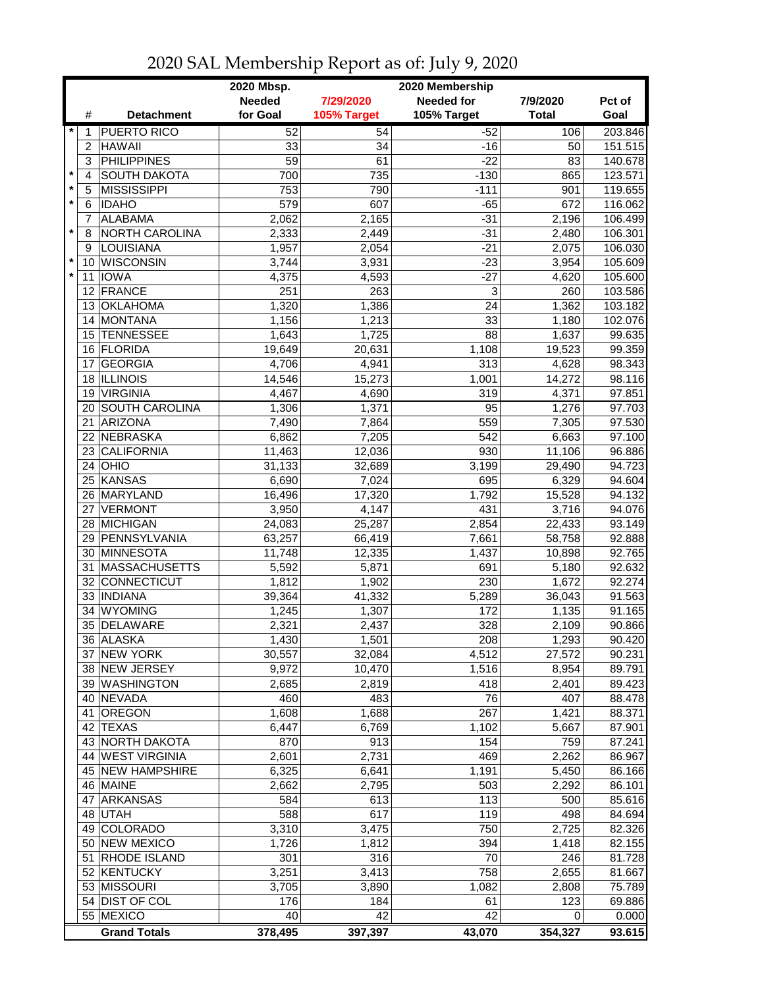|                         |                |                              | 2020 Mbsp.<br>2020 Membership |                 |                  |                 |                    |  |
|-------------------------|----------------|------------------------------|-------------------------------|-----------------|------------------|-----------------|--------------------|--|
|                         |                |                              | <b>Needed</b>                 | 7/29/2020       | Pct of           |                 |                    |  |
|                         | #              | <b>Detachment</b>            | for Goal                      | 105% Target     | 105% Target      | <b>Total</b>    | Goal               |  |
| $\star$                 | 1              | <b>PUERTO RICO</b>           | 52                            | 54              | $-52$            | 106             | 203.846            |  |
|                         | $\overline{2}$ | <b>HAWAII</b>                | 33                            | 34              | $-16$            | 50              | 151.515            |  |
|                         | 3              | <b>PHILIPPINES</b>           | 59                            | 61              | $-22$            | 83              | 140.678            |  |
| $\star$                 | 4              | <b>SOUTH DAKOTA</b>          | 700                           | 735             | $-130$           | 865             | 123.571            |  |
| $\pmb{\ast}$<br>$\star$ | 5              | <b>MISSISSIPPI</b>           | 753                           | 790             | $-111$           | 901             | 119.655            |  |
|                         | 6              | <b>IDAHO</b>                 | 579                           | 607             | $-65$            | 672             | 116.062            |  |
| $\star$                 | 7              | <b>ALABAMA</b>               | 2,062                         | 2,165           | $-31$            | 2,196           | 106.499            |  |
|                         | 8              | NORTH CAROLINA<br>LOUISIANA  | 2,333                         | 2,449<br>2,054  | $-31$<br>$-21$   | 2,480           | 106.301            |  |
| $\star$                 | 9<br>10        | <b>WISCONSIN</b>             | 1,957<br>3,744                | 3,931           | $-23$            | 2,075<br>3,954  | 106.030<br>105.609 |  |
| $\star$                 | 11             | <b>IOWA</b>                  | 4,375                         | 4,593           | $-27$            | 4,620           | 105.600            |  |
|                         |                | 12 FRANCE                    | 251                           | 263             | 3                | 260             | 103.586            |  |
|                         |                | 13 OKLAHOMA                  | 1,320                         | 1,386           | 24               | 1,362           | 103.182            |  |
|                         |                | 14 MONTANA                   | 1,156                         | 1,213           | 33               | 1,180           | 102.076            |  |
|                         |                | 15 TENNESSEE                 | 1,643                         | 1,725           | 88               | 1,637           | 99.635             |  |
|                         |                | 16 FLORIDA                   | 19,649                        | 20,631          | 1,108            | 19,523          | 99.359             |  |
|                         | 17             | <b>GEORGIA</b>               | 4,706                         | 4,941           | $\overline{313}$ | 4,628           | 98.343             |  |
|                         |                | 18 ILLINOIS                  | 14,546                        | 15,273          | 1,001            | 14,272          | 98.116             |  |
|                         | 19             | <b>VIRGINIA</b>              | 4,467                         | 4,690           | 319              | 4,371           | 97.851             |  |
|                         | 20             | <b>SOUTH CAROLINA</b>        | 1,306                         | 1,371           | 95               | 1,276           | 97.703             |  |
|                         | 21             | ARIZONA                      | 7,490                         | 7,864           | 559              | 7,305           | 97.530             |  |
|                         | 22             | NEBRASKA                     | 6,862                         | 7,205           | 542              | 6,663           | 97.100             |  |
|                         | 23             | <b>CALIFORNIA</b>            | 11,463                        | 12,036          | 930              | 11,106          | 96.886             |  |
|                         | 24             | OHIO                         | 31,133                        | 32,689          | 3,199            | 29,490          | 94.723             |  |
|                         | 25             | <b>KANSAS</b>                | 6,690                         | 7,024           | 695              | 6,329           | 94.604             |  |
|                         | 26             | MARYLAND                     | 16,496                        | 17,320          | 1,792            | 15,528          | 94.132             |  |
|                         |                | 27 VERMONT                   | 3,950                         | 4,147           | 431              | 3,716           | 94.076             |  |
|                         |                | 28 MICHIGAN                  | 24,083                        | 25,287          | 2,854            | 22,433          | 93.149             |  |
|                         |                | 29 PENNSYLVANIA              | 63,257                        | 66,419          | 7,661            | 58,758          | 92.888             |  |
|                         |                | 30 MINNESOTA                 | 11,748                        | 12,335          | 1,437            | 10,898          | 92.765             |  |
|                         |                | 31 MASSACHUSETTS             | 5,592                         | 5,871           | 691              | 5,180           | 92.632             |  |
|                         |                | 32 CONNECTICUT               | 1,812                         | 1,902           | 230              | 1,672           | 92.274             |  |
|                         | 34             | 33 INDIANA<br><b>WYOMING</b> | 39,364<br>1,245               | 41,332<br>1,307 | 5,289<br>172     | 36,043<br>1,135 | 91.563<br>91.165   |  |
|                         |                | 35 DELAWARE                  | 2,321                         | 2,437           | 328              | 2,109           | 90.866             |  |
|                         |                | 36 ALASKA                    | 1,430                         | 1,501           | 208              | 1,293           | 90.420             |  |
|                         |                | 37 NEW YORK                  | 30,557                        | 32,084          | 4,512            | 27,572          | 90.231             |  |
|                         |                | 38 NEW JERSEY                | 9,972                         | 10,470          | 1,516            | 8,954           | 89.791             |  |
|                         |                | 39 WASHINGTON                | 2,685                         | 2,819           | 418              | 2,401           | 89.423             |  |
|                         |                | 40 NEVADA                    | 460                           | 483             | 76               | 407             | 88.478             |  |
|                         | 41             | OREGON                       | 1,608                         | 1,688           | 267              | 1,421           | 88.371             |  |
|                         |                | 42 TEXAS                     | 6,447                         | 6,769           | 1,102            | 5,667           | 87.901             |  |
|                         |                | 43 NORTH DAKOTA              | 870                           | 913             | 154              | 759             | 87.241             |  |
|                         |                | 44 WEST VIRGINIA             | 2,601                         | 2,731           | 469              | 2,262           | 86.967             |  |
|                         |                | 45 NEW HAMPSHIRE             | 6,325                         | 6,641           | 1,191            | 5,450           | 86.166             |  |
|                         |                | 46 MAINE                     | 2,662                         | 2,795           | 503              | 2,292           | 86.101             |  |
|                         |                | 47 ARKANSAS                  | 584                           | 613             | 113              | 500             | 85.616             |  |
|                         |                | 48 UTAH                      | 588                           | 617             | 119              | 498             | 84.694             |  |
|                         |                | 49 COLORADO                  | 3,310                         | 3,475           | 750              | 2,725           | 82.326             |  |
|                         |                | 50 NEW MEXICO                | 1,726                         | 1,812           | 394              | 1,418           | 82.155             |  |
|                         |                | 51 RHODE ISLAND              | 301                           | 316             | 70               | 246             | 81.728             |  |
|                         |                | 52 KENTUCKY                  | 3,251                         | 3,413           | 758              | 2,655           | 81.667             |  |
|                         |                | 53 MISSOURI                  | 3,705                         | 3,890           | 1,082            | 2,808           | 75.789             |  |
|                         |                | 54 DIST OF COL               | 176                           | 184             | 61               | 123             | 69.886             |  |
|                         |                | 55 MEXICO                    | 40                            | 42              | 42               | 0               | 0.000              |  |
|                         |                | <b>Grand Totals</b>          | 378,495                       | 397,397         | 43,070           | 354,327         | 93.615             |  |

## 2020 SAL Membership Report as of: July 9, 2020